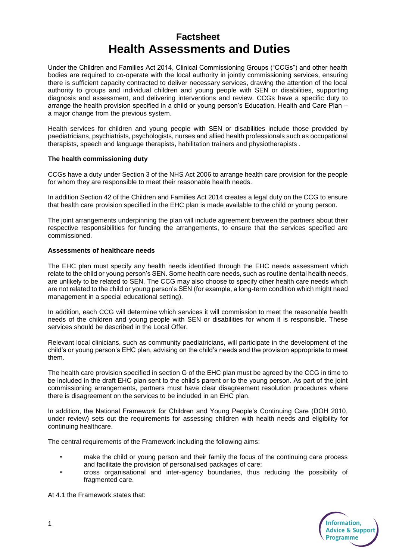# **Factsheet Health Assessments and Duties**

Under the Children and Families Act 2014, Clinical Commissioning Groups ("CCGs") and other health bodies are required to co-operate with the local authority in jointly commissioning services, ensuring there is sufficient capacity contracted to deliver necessary services, drawing the attention of the local authority to groups and individual children and young people with SEN or disabilities, supporting diagnosis and assessment, and delivering interventions and review. CCGs have a specific duty to arrange the health provision specified in a child or young person's Education, Health and Care Plan – a major change from the previous system.

Health services for children and young people with SEN or disabilities include those provided by paediatricians, psychiatrists, psychologists, nurses and allied health professionals such as occupational therapists, speech and language therapists, habilitation trainers and physiotherapists .

### **The health commissioning duty**

CCGs have a duty under Section 3 of the NHS Act 2006 to arrange health care provision for the people for whom they are responsible to meet their reasonable health needs.

In addition Section 42 of the Children and Families Act 2014 creates a legal duty on the CCG to ensure that health care provision specified in the EHC plan is made available to the child or young person.

The joint arrangements underpinning the plan will include agreement between the partners about their respective responsibilities for funding the arrangements, to ensure that the services specified are commissioned.

## **Assessments of healthcare needs**

The EHC plan must specify any health needs identified through the EHC needs assessment which relate to the child or young person's SEN. Some health care needs, such as routine dental health needs, are unlikely to be related to SEN. The CCG may also choose to specify other health care needs which are not related to the child or young person's SEN (for example, a long-term condition which might need management in a special educational setting).

In addition, each CCG will determine which services it will commission to meet the reasonable health needs of the children and young people with SEN or disabilities for whom it is responsible. These services should be described in the Local Offer.

Relevant local clinicians, such as community paediatricians, will participate in the development of the child's or young person's EHC plan, advising on the child's needs and the provision appropriate to meet them.

The health care provision specified in section G of the EHC plan must be agreed by the CCG in time to be included in the draft EHC plan sent to the child's parent or to the young person. As part of the joint commissioning arrangements, partners must have clear disagreement resolution procedures where there is disagreement on the services to be included in an EHC plan.

In addition, the National Framework for Children and Young People's Continuing Care (DOH 2010, under review) sets out the requirements for assessing children with health needs and eligibility for continuing healthcare.

The central requirements of the Framework including the following aims:

- make the child or young person and their family the focus of the continuing care process and facilitate the provision of personalised packages of care;
- cross organisational and inter-agency boundaries, thus reducing the possibility of fragmented care.



At 4.1 the Framework states that: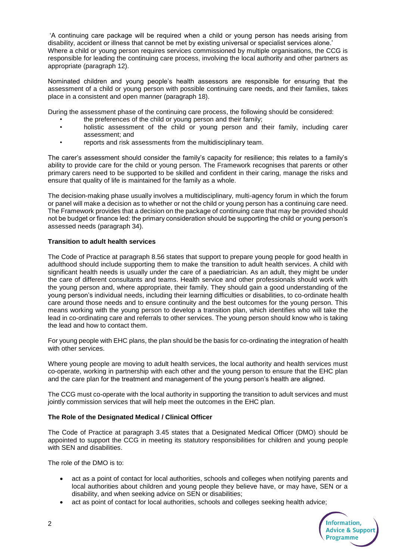'A continuing care package will be required when a child or young person has needs arising from disability, accident or illness that cannot be met by existing universal or specialist services alone.' Where a child or young person requires services commissioned by multiple organisations, the CCG is responsible for leading the continuing care process, involving the local authority and other partners as appropriate (paragraph 12).

Nominated children and young people's health assessors are responsible for ensuring that the assessment of a child or young person with possible continuing care needs, and their families, takes place in a consistent and open manner (paragraph 18).

During the assessment phase of the continuing care process, the following should be considered:

- the preferences of the child or young person and their family;
- holistic assessment of the child or young person and their family, including carer assessment; and
- reports and risk assessments from the multidisciplinary team.

The carer's assessment should consider the family's capacity for resilience; this relates to a family's ability to provide care for the child or young person. The Framework recognises that parents or other primary carers need to be supported to be skilled and confident in their caring, manage the risks and ensure that quality of life is maintained for the family as a whole.

The decision-making phase usually involves a multidisciplinary, multi-agency forum in which the forum or panel will make a decision as to whether or not the child or young person has a continuing care need. The Framework provides that a decision on the package of continuing care that may be provided should not be budget or finance led: the primary consideration should be supporting the child or young person's assessed needs (paragraph 34).

### **Transition to adult health services**

The Code of Practice at paragraph 8.56 states that support to prepare young people for good health in adulthood should include supporting them to make the transition to adult health services. A child with significant health needs is usually under the care of a paediatrician. As an adult, they might be under the care of different consultants and teams. Health service and other professionals should work with the young person and, where appropriate, their family. They should gain a good understanding of the young person's individual needs, including their learning difficulties or disabilities, to co-ordinate health care around those needs and to ensure continuity and the best outcomes for the young person. This means working with the young person to develop a transition plan, which identifies who will take the lead in co-ordinating care and referrals to other services. The young person should know who is taking the lead and how to contact them.

For young people with EHC plans, the plan should be the basis for co-ordinating the integration of health with other services.

Where young people are moving to adult health services, the local authority and health services must co-operate, working in partnership with each other and the young person to ensure that the EHC plan and the care plan for the treatment and management of the young person's health are aligned.

The CCG must co-operate with the local authority in supporting the transition to adult services and must jointly commission services that will help meet the outcomes in the EHC plan.

## **The Role of the Designated Medical / Clinical Officer**

The Code of Practice at paragraph 3.45 states that a Designated Medical Officer (DMO) should be appointed to support the CCG in meeting its statutory responsibilities for children and young people with SEN and disabilities.

The role of the DMO is to:

- act as a point of contact for local authorities, schools and colleges when notifying parents and local authorities about children and young people they believe have, or may have, SEN or a disability, and when seeking advice on SEN or disabilities;
- act as point of contact for local authorities, schools and colleges seeking health advice;